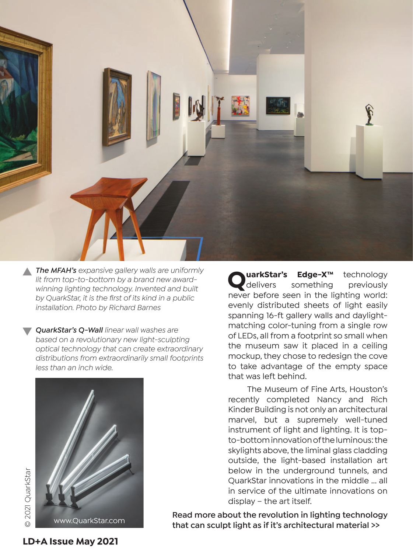

*The MFAH's expansive gallery walls are uniformly lit from top-to-bottom by a brand new awardwinning lighting technology. Invented and built by QuarkStar, it is the fi rst of its kind in a public installation. Photo by Richard Barnes*

*QuarkStar's Q-Wall linear wall washes are based on a revolutionary new light-sculpting optical technology that can create extraordinary distributions from extraordinarily small footprints less than an inch wide.*

**QuarkStar's Edge-X™** technology<br>delivers something previously delivers something previously never before seen in the lighting world: evenly distributed sheets of light easily spanning 16-ft gallery walls and daylightmatching color-tuning from a single row of LEDs, all from a footprint so small when the museum saw it placed in a ceiling mockup, they chose to redesign the cove to take advantage of the empty space that was left behind.

 The Museum of Fine Arts, Houston's recently completed Nancy and Rich Kinder Building is not only an architectural marvel, but a supremely well-tuned instrument of light and lighting. It is topto-bottom innovation of the luminous: the skylights above, the liminal glass cladding outside, the light-based installation art below in the underground tunnels, and QuarkStar innovations in the middle ... all in service of the ultimate innovations on display – the art itself.

**Read more about the revolution in lighting technology that can sculpt light as if it's architectural material >>** www.QuarkStar.com

**D** 2021 QuarkStar © 2021 QuarkStar

**LD+A Issue May 2021**